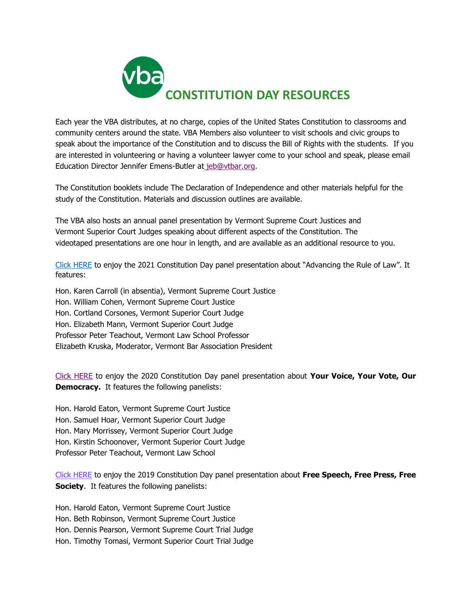

Each year the VBA distributes, at no charge, copies of the United States Constitution to classrooms and community centers around the state. VBA Members also volunteer to visit schools and civic groups to speak about the importance of the Constitution and to discuss the Bill of Rights with the students. If you are interested in volunteering or having a volunteer lawyer come to your school and speak, please email Education Director Jennifer Emens-Butler at [jeb@vtbar.org.](mailto:jeb@vtbar.org)

The Constitution booklets include The Declaration of Independence and other materials helpful for the study of the Constitution. Materials and discussion outlines are available.

The VBA also hosts an annual panel presentation by Vermont Supreme Court Justices and Vermont Superior Court Judges speaking about different aspects of the Constitution. The videotaped presentations are one hour in length, and are available as an additional resource to you.

[Click HERE](https://www.youtube.com/watch?v=oQdQqQkqKcI) to enjoy the 2021 Constitution Day panel presentation about "Advancing the Rule of Law". It features:

Hon. Karen Carroll (in absentia), Vermont Supreme Court Justice Hon. William Cohen, Vermont Supreme Court Justice Hon. Cortland Corsones, Vermont Superior Court Judge Hon. Elizabeth Mann, Vermont Superior Court Judge Professor Peter Teachout, Vermont Law School Professor Elizabeth Kruska, Moderator, Vermont Bar Association President

[Click HERE](https://drive.google.com/file/d/1WMm9YvxiBWUeQchLmD1hBA8KdOTP8REa/view?ts=5f75ded5) to enjoy the 2020 Constitution Day panel presentation about **Your Voice, Your Vote, Our Democracy.** It features the following panelists:

Hon. Harold Eaton, Vermont Supreme Court Justice Hon. Samuel Hoar, Vermont Superior Court Judge Hon. Mary Morrissey, Vermont Superior Court Judge Hon. Kirstin Schoonover, Vermont Superior Court Judge Professor Peter Teachout, Vermont Law School

[Click HERE](https://livestream.com/vermontlawschool/events/8815565/videos/196402893) to enjoy the 2019 Constitution Day panel presentation about **Free Speech, Free Press, Free Society.** It features the following panelists:

Hon. Harold Eaton, Vermont Supreme Court Justice Hon. Beth Robinson, Vermont Supreme Court Justice Hon. Dennis Pearson, Vermont Supreme Court Trial Judge Hon. Timothy Tomasi, Vermont Superior Court Trial Judge